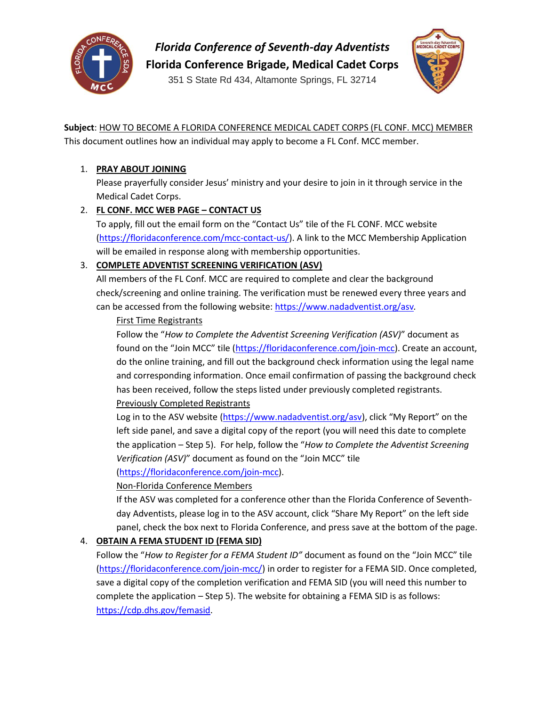

*Florida Conference of Seventh-day Adventists*

**Florida Conference Brigade, Medical Cadet Corps**

351 S State Rd 434, Altamonte Springs, FL 32714



**Subject**: HOW TO BECOME A FLORIDA CONFERENCE MEDICAL CADET CORPS (FL CONF. MCC) MEMBER This document outlines how an individual may apply to become a FL Conf. MCC member.

## 1. **PRAY ABOUT JOINING**

Please prayerfully consider Jesus' ministry and your desire to join in it through service in the Medical Cadet Corps.

# 2. **FL CONF. MCC WEB PAGE – CONTACT US**

To apply, fill out the email form on the "Contact Us" tile of the FL CONF. MCC website [\(https://floridaconference.com/mcc-contact-us/\)](https://floridaconference.com/mcc-contact-us/). A link to the MCC Membership Application will be emailed in response along with membership opportunities.

# 3. **COMPLETE ADVENTIST SCREENING VERIFICATION (ASV)**

All members of the FL Conf. MCC are required to complete and clear the background check/screening and online training. The verification must be renewed every three years and can be accessed from the following website:<https://www.nadadventist.org/asv>*.*

### First Time Registrants

Follow the "*How to Complete the Adventist Screening Verification (ASV)*" document as found on the "Join MCC" tile ([https://floridaconference.com/join-mcc\)](https://floridaconference.com/join-mcc). Create an account, do the online training, and fill out the background check information using the legal name and corresponding information. Once email confirmation of passing the background check has been received, follow the steps listed under previously completed registrants. Previously Completed Registrants

Log in to the ASV website [\(https://www.nadadventist.org/asv\)](https://www.nadadventist.org/asv), click "My Report" on the left side panel, and save a digital copy of the report (you will need this date to complete the application – Step 5). For help, follow the "*How to Complete the Adventist Screening Verification (ASV)*" document as found on the "Join MCC" tile

[\(https://floridaconference.com/join-mcc\)](https://floridaconference.com/join-mcc).

### Non-Florida Conference Members

If the ASV was completed for a conference other than the Florida Conference of Seventhday Adventists, please log in to the ASV account, click "Share My Report" on the left side panel, check the box next to Florida Conference, and press save at the bottom of the page.

### 4. **OBTAIN A FEMA STUDENT ID (FEMA SID)**

Follow the "*How to Register for a FEMA Student ID"* document as found on the "Join MCC" tile [\(https://floridaconference.com/join-mcc/\)](https://floridaconference.com/join-mcc/) in order to register for a FEMA SID. Once completed, save a digital copy of the completion verification and FEMA SID (you will need this number to complete the application – Step 5). The website for obtaining a FEMA SID is as follows: [https://cdp.dhs.gov/femasid.](https://cdp.dhs.gov/femasid)